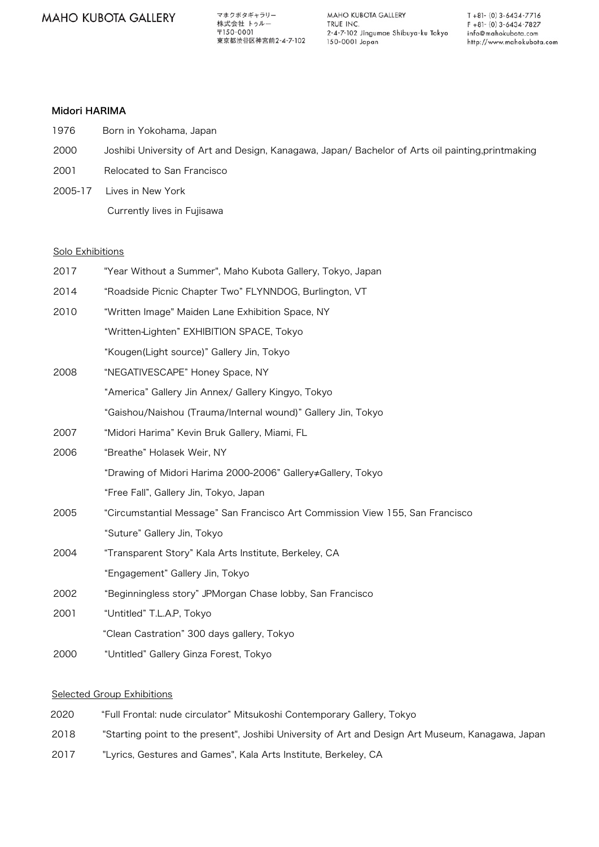マホクボタギャラリー 株式会社 トゥルー  $\overline{7}150-0001$ ————————————————————<br>東京都渋谷区神宮前2-4-7-102

MAHO KUBOTA GALLERY TRUE INC. 2-4-7-102 Jingumae Shibuya-ku Tokyo 150-0001 Japan

 $T + 81 - (0) 3 - 6434 - 7716$  $F + 81 - (0) 3 - 6434 - 7827$ info@mahokubota.com http://www.mahokubota.com

## Midori HARIMA

- 1976 Born in Yokohama, Japan
- 2000 Joshibi University of Art and Design, Kanagawa, Japan/ Bachelor of Arts oil painting,printmaking
- 2001 Relocated to San Francisco
- 2005-17 Lives in New York
	- Currently lives in Fujisawa

#### Solo Exhibitions

| 2017 | "Year Without a Summer", Maho Kubota Gallery, Tokyo, Japan                    |
|------|-------------------------------------------------------------------------------|
| 2014 | "Roadside Picnic Chapter Two" FLYNNDOG, Burlington, VT                        |
| 2010 | "Written Image" Maiden Lane Exhibition Space, NY                              |
|      | "Written-Lighten" EXHIBITION SPACE, Tokyo                                     |
|      | "Kougen(Light source)" Gallery Jin, Tokyo                                     |
| 2008 | "NEGATIVESCAPE" Honey Space, NY                                               |
|      | "America" Gallery Jin Annex/ Gallery Kingyo, Tokyo                            |
|      | "Gaishou/Naishou (Trauma/Internal wound)" Gallery Jin, Tokyo                  |
| 2007 | "Midori Harima" Kevin Bruk Gallery, Miami, FL                                 |
| 2006 | "Breathe" Holasek Weir, NY                                                    |
|      | "Drawing of Midori Harima 2000-2006" Gallery≠Gallery, Tokyo                   |
|      | "Free Fall", Gallery Jin, Tokyo, Japan                                        |
| 2005 | "Circumstantial Message" San Francisco Art Commission View 155, San Francisco |
|      | "Suture" Gallery Jin, Tokyo                                                   |
| 2004 | "Transparent Story" Kala Arts Institute, Berkeley, CA                         |
|      | "Engagement" Gallery Jin, Tokyo                                               |
| 2002 | "Beginningless story" JPMorgan Chase lobby, San Francisco                     |
| 2001 | "Untitled" T.L.A.P, Tokyo                                                     |
|      | "Clean Castration" 300 days gallery, Tokyo                                    |
| 2000 | "Untitled" Gallery Ginza Forest, Tokyo                                        |

### Selected Group Exhibitions

- 2020 "Full Frontal: nude circulator" Mitsukoshi Contemporary Gallery, Tokyo
- 2018 "Starting point to the present", Joshibi University of Art and Design Art Museum, Kanagawa, Japan
- 2017 "Lyrics, Gestures and Games", Kala Arts Institute, Berkeley, CA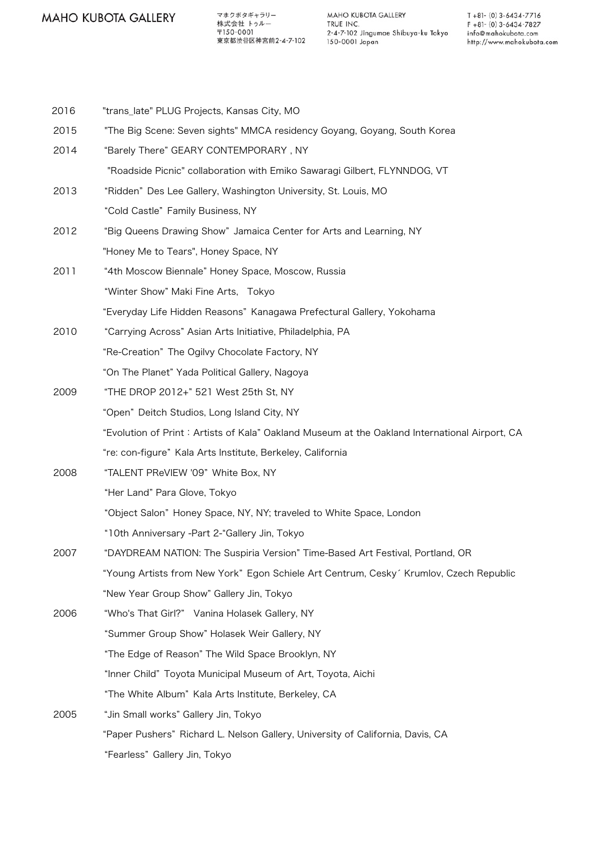マホクボタギャラリー 株式会社 トゥルー 〒150-0001 東京都渋谷区神宮前2-4-7-102

MAHO KUBOTA GALLERY TRUE INC. 2-4-7-102 Jingumae Shibuya-ku Tokyo 150-0001 Japan

- 2016 "trans\_late" PLUG Projects, Kansas City, MO 2015 "The Big Scene: Seven sights" MMCA residency Goyang, Goyang, South Korea 2014 "Barely There" GEARY CONTEMPORARY , NY "Roadside Picnic" collaboration with Emiko Sawaragi Gilbert, FLYNNDOG, VT 2013 "Ridden" Des Lee Gallery, Washington University, St. Louis, MO "Cold Castle" Family Business, NY 2012 "Big Queens Drawing Show" Jamaica Center for Arts and Learning, NY "Honey Me to Tears", Honey Space, NY 2011 "4th Moscow Biennale" Honey Space, Moscow, Russia "Winter Show" Maki Fine Arts, Tokyo "Everyday Life Hidden Reasons" Kanagawa Prefectural Gallery, Yokohama 2010 "Carrying Across" Asian Arts Initiative, Philadelphia, PA "Re-Creation" The Ogilvy Chocolate Factory, NY "On The Planet" Yada Political Gallery, Nagoya 2009 "THE DROP 2012+" 521 West 25th St, NY "Open" Deitch Studios, Long Island City, NY "Evolution of Print: Artists of Kala" Oakland Museum at the Oakland International Airport, CA "re: con-figure" Kala Arts Institute, Berkeley, California 2008 "TALENT PReVIEW '09" White Box, NY "Her Land" Para Glove, Tokyo "Object Salon" Honey Space, NY, NY; traveled to White Space, London "10th Anniversary -Part 2-"Gallery Jin, Tokyo 2007 "DAYDREAM NATION: The Suspiria Version" Time-Based Art Festival, Portland, OR "Young Artists from New York" Egon Schiele Art Centrum, Cesky' Krumlov, Czech Republic "New Year Group Show" Gallery Jin, Tokyo 2006 "Who's That Girl?" Vanina Holasek Gallery, NY "Summer Group Show" Holasek Weir Gallery, NY "The Edge of Reason" The Wild Space Brooklyn, NY "Inner Child" Toyota Municipal Museum of Art, Toyota, Aichi "The White Album" Kala Arts Institute, Berkeley, CA 2005 "Jin Small works" Gallery Jin, Tokyo "Paper Pushers" Richard L. Nelson Gallery, University of California, Davis, CA
	- "Fearless" Gallery Jin, Tokyo